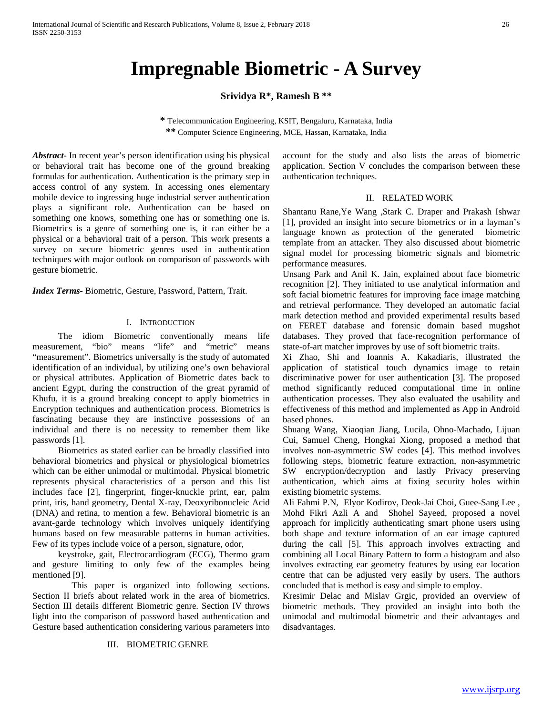# **Impregnable Biometric - A Survey**

# **Srividya R\*, Ramesh B \*\***

**\*** Telecommunication Engineering, KSIT, Bengaluru, Karnataka, India **\*\*** Computer Science Engineering, MCE, Hassan, Karnataka, India

*Abstract***-** In recent year's person identification using his physical or behavioral trait has become one of the ground breaking formulas for authentication. Authentication is the primary step in access control of any system. In accessing ones elementary mobile device to ingressing huge industrial server authentication plays a significant role. Authentication can be based on something one knows, something one has or something one is. Biometrics is a genre of something one is, it can either be a physical or a behavioral trait of a person. This work presents a survey on secure biometric genres used in authentication techniques with major outlook on comparison of passwords with gesture biometric.

*Index Terms*- Biometric, Gesture, Password, Pattern, Trait.

## I. INTRODUCTION

The idiom Biometric conventionally means life measurement, "bio" means "life" and "metric" means "measurement". Biometrics universally is the study of automated identification of an individual, by utilizing one's own behavioral or physical attributes. Application of Biometric dates back to ancient Egypt, during the construction of the great pyramid of Khufu, it is a ground breaking concept to apply biometrics in Encryption techniques and authentication process. Biometrics is fascinating because they are instinctive possessions of an individual and there is no necessity to remember them like passwords [1].

Biometrics as stated earlier can be broadly classified into behavioral biometrics and physical or physiological biometrics which can be either unimodal or multimodal. Physical biometric represents physical characteristics of a person and this list includes face [2], fingerprint, finger-knuckle print, ear, palm print, iris, hand geometry, Dental X-ray, Deoxyribonucleic Acid (DNA) and retina, to mention a few. Behavioral biometric is an avant-garde technology which involves uniquely identifying humans based on few measurable patterns in human activities. Few of its types include voice of a person, signature, odor,

keystroke, gait, Electrocardiogram (ECG), Thermo gram and gesture limiting to only few of the examples being mentioned [9].

 This paper is organized into following sections. Section II briefs about related work in the area of biometrics. Section III details different Biometric genre. Section IV throws light into the comparison of password based authentication and Gesture based authentication considering various parameters into

## III. BIOMETRIC GENRE

account for the study and also lists the areas of biometric application. Section V concludes the comparison between these authentication techniques.

#### II. RELATED WORK

Shantanu Rane,Ye Wang ,Stark C. Draper and Prakash Ishwar [1], provided an insight into secure biometrics or in a layman's language known as protection of the generated biometric template from an attacker. They also discussed about biometric signal model for processing biometric signals and biometric performance measures.

Unsang Park and Anil K. Jain, explained about face biometric recognition [2]. They initiated to use analytical information and soft facial biometric features for improving face image matching and retrieval performance. They developed an automatic facial mark detection method and provided experimental results based on FERET database and forensic domain based mugshot databases. They proved that face-recognition performance of state-of-art matcher improves by use of soft biometric traits.

Xi Zhao, Shi and Ioannis A. Kakadiaris, illustrated the application of statistical touch dynamics image to retain discriminative power for user authentication [3]. The proposed method significantly reduced computational time in online authentication processes. They also evaluated the usability and effectiveness of this method and implemented as App in Android based phones.

Shuang Wang, Xiaoqian Jiang, Lucila, Ohno-Machado, Lijuan Cui, Samuel Cheng, Hongkai Xiong, proposed a method that involves non-asymmetric SW codes [4]. This method involves following steps, biometric feature extraction, non-asymmetric SW encryption/decryption and lastly Privacy preserving authentication, which aims at fixing security holes within existing biometric systems.

Ali Fahmi P.N, Elyor Kodirov, Deok-Jai Choi, Guee-Sang Lee , Mohd Fikri Azli A and Shohel Sayeed, proposed a novel approach for implicitly authenticating smart phone users using both shape and texture information of an ear image captured during the call [5]. This approach involves extracting and combining all Local Binary Pattern to form a histogram and also involves extracting ear geometry features by using ear location centre that can be adjusted very easily by users. The authors concluded that is method is easy and simple to employ.

Kresimir Delac and Mislav Grgic, provided an overview of biometric methods. They provided an insight into both the unimodal and multimodal biometric and their advantages and disadvantages.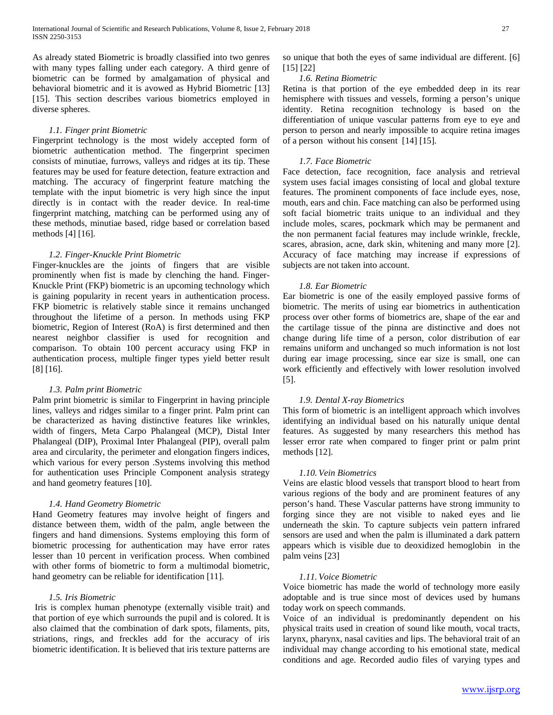As already stated Biometric is broadly classified into two genres with many types falling under each category. A third genre of biometric can be formed by amalgamation of physical and behavioral biometric and it is avowed as Hybrid Biometric [13] [15]. This section describes various biometrics employed in diverse spheres.

## *1.1. Finger print Biometric*

Fingerprint technology is the most widely accepted form of biometric authentication method. The fingerprint specimen consists of minutiae, furrows, valleys and ridges at its tip. These features may be used for feature detection, feature extraction and matching. The accuracy of fingerprint feature matching the template with the input biometric is very high since the input directly is in contact with the reader device. In real-time fingerprint matching, matching can be performed using any of these methods, minutiae based, ridge based or correlation based methods [4] [16].

## *1.2. Finger-Knuckle Print Biometric*

Finger-knuckles are the joints of fingers that are visible prominently when fist is made by clenching the hand. Finger-Knuckle Print (FKP) biometric is an upcoming technology which is gaining popularity in recent years in authentication process. FKP biometric is relatively stable since it remains unchanged throughout the lifetime of a person. In methods using FKP biometric, Region of Interest (RoA) is first determined and then nearest neighbor classifier is used for recognition and comparison. To obtain 100 percent accuracy using FKP in authentication process, multiple finger types yield better result [8] [16].

#### *1.3. Palm print Biometric*

Palm print biometric is similar to Fingerprint in having principle lines, valleys and ridges similar to a finger print. Palm print can be characterized as having distinctive features like wrinkles, width of fingers, Meta Carpo Phalangeal (MCP), Distal Inter Phalangeal (DIP), Proximal Inter Phalangeal (PIP), overall palm area and circularity, the perimeter and elongation fingers indices, which various for every person .Systems involving this method for authentication uses Principle Component analysis strategy and hand geometry features [10].

## *1.4. Hand Geometry Biometric*

Hand Geometry features may involve height of fingers and distance between them, width of the palm, angle between the fingers and hand dimensions. Systems employing this form of biometric processing for authentication may have error rates lesser than 10 percent in verification process. When combined with other forms of biometric to form a multimodal biometric, hand geometry can be reliable for identification [11].

#### *1.5. Iris Biometric*

Iris is complex human phenotype (externally visible trait) and that portion of eye which surrounds the pupil and is colored. It is also claimed that the combination of dark spots, filaments, pits, striations, rings, and freckles add for the accuracy of iris biometric identification. It is believed that iris texture patterns are so unique that both the eyes of same individual are different. [6] [15] [22]

## *1.6. Retina Biometric*

Retina is that portion of the eye embedded deep in its rear hemisphere with tissues and vessels, forming a person's unique identity. Retina recognition technology is based on the differentiation of unique vascular patterns from eye to eye and person to person and nearly impossible to acquire retina images of a person without his consent [14] [15].

## *1.7. Face Biometric*

Face detection, face recognition, face analysis and retrieval system uses facial images consisting of local and global texture features. The prominent components of face include eyes, nose, mouth, ears and chin. Face matching can also be performed using soft facial biometric traits unique to an individual and they include moles, scares, pockmark which may be permanent and the non permanent facial features may include wrinkle, freckle, scares, abrasion, acne, dark skin, whitening and many more [2]. Accuracy of face matching may increase if expressions of subjects are not taken into account.

## *1.8. Ear Biometric*

Ear biometric is one of the easily employed passive forms of biometric. The merits of using ear biometrics in authentication process over other forms of biometrics are, shape of the ear and the cartilage tissue of the pinna are distinctive and does not change during life time of a person, color distribution of ear remains uniform and unchanged so much information is not lost during ear image processing, since ear size is small, one can work efficiently and effectively with lower resolution involved [5].

## *1.9. Dental X-ray Biometrics*

This form of biometric is an intelligent approach which involves identifying an individual based on his naturally unique dental features. As suggested by many researchers this method has lesser error rate when compared to finger print or palm print methods [12].

## *1.10. Vein Biometrics*

Veins are elastic blood vessels that transport blood to heart from various regions of the body and are prominent features of any person's hand. These Vascular patterns have strong immunity to forging since they are not visible to naked eyes and lie underneath the skin. To capture subjects vein pattern infrared sensors are used and when the palm is illuminated a dark pattern appears which is visible due to deoxidized hemoglobin in the palm veins [23]

## *1.11. Voice Biometric*

Voice biometric has made the world of technology more easily adoptable and is true since most of devices used by humans today work on speech commands.

Voice of an individual is predominantly dependent on his physical traits used in creation of sound like mouth, vocal tracts, larynx, pharynx, nasal cavities and lips. The behavioral trait of an individual may change according to his emotional state, medical conditions and age. Recorded audio files of varying types and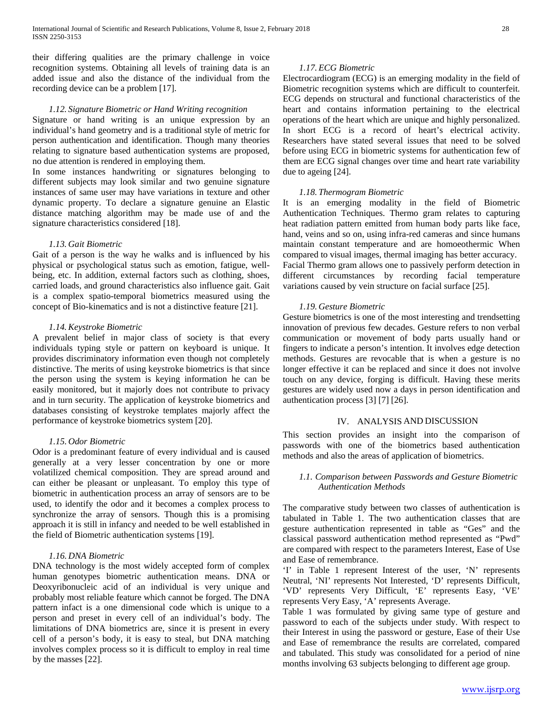their differing qualities are the primary challenge in voice recognition systems. Obtaining all levels of training data is an added issue and also the distance of the individual from the recording device can be a problem [17].

## *1.12. Signature Biometric or Hand Writing recognition*

Signature or hand writing is an unique expression by an individual's hand geometry and is a traditional style of metric for person authentication and identification. Though many theories relating to signature based authentication systems are proposed, no due attention is rendered in employing them.

In some instances handwriting or signatures belonging to different subjects may look similar and two genuine signature instances of same user may have variations in texture and other dynamic property. To declare a signature genuine an Elastic distance matching algorithm may be made use of and the signature characteristics considered [18].

#### *1.13. Gait Biometric*

Gait of a person is the way he walks and is influenced by his physical or psychological status such as emotion, fatigue, wellbeing, etc. In addition, external factors such as clothing, shoes, carried loads, and ground characteristics also influence gait. Gait is a complex spatio-temporal biometrics measured using the concept of Bio-kinematics and is not a distinctive feature [21].

## *1.14.Keystroke Biometric*

A prevalent belief in major class of society is that every individuals typing style or pattern on keyboard is unique. It provides discriminatory information even though not completely distinctive. The merits of using keystroke biometrics is that since the person using the system is keying information he can be easily monitored, but it majorly does not contribute to privacy and in turn security. The application of keystroke biometrics and databases consisting of keystroke templates majorly affect the performance of keystroke biometrics system [20].

#### *1.15. Odor Biometric*

Odor is a predominant feature of every individual and is caused generally at a very lesser concentration by one or more volatilized chemical composition. They are spread around and can either be pleasant or unpleasant. To employ this type of biometric in authentication process an array of sensors are to be used, to identify the odor and it becomes a complex process to synchronize the array of sensors. Though this is a promising approach it is still in infancy and needed to be well established in the field of Biometric authentication systems [19].

## *1.16. DNA Biometric*

DNA technology is the most widely accepted form of complex human genotypes biometric authentication means. DNA or Deoxyribonucleic acid of an individual is very unique and probably most reliable feature which cannot be forged. The DNA pattern infact is a one dimensional code which is unique to a person and preset in every cell of an individual's body. The limitations of DNA biometrics are, since it is present in every cell of a person's body, it is easy to steal, but DNA matching involves complex process so it is difficult to employ in real time by the masses [22].

#### *1.17. ECG Biometric*

Electrocardiogram (ECG) is an emerging modality in the field of Biometric recognition systems which are difficult to counterfeit. ECG depends on structural and functional characteristics of the heart and contains information pertaining to the electrical operations of the heart which are unique and highly personalized. In short ECG is a record of heart's electrical activity. Researchers have stated several issues that need to be solved before using ECG in biometric systems for authentication few of them are ECG signal changes over time and heart rate variability due to ageing [24].

#### *1.18. Thermogram Biometric*

It is an emerging modality in the field of Biometric Authentication Techniques. Thermo gram relates to capturing heat radiation pattern emitted from human body parts like face, hand, veins and so on, using infra-red cameras and since humans maintain constant temperature and are homoeothermic When compared to visual images, thermal imaging has better accuracy. Facial Thermo gram allows one to passively perform detection in different circumstances by recording facial temperature variations caused by vein structure on facial surface [25].

## *1.19. Gesture Biometric*

Gesture biometrics is one of the most interesting and trendsetting innovation of previous few decades. Gesture refers to non verbal communication or movement of body parts usually hand or fingers to indicate a person's intention. It involves edge detection methods. Gestures are revocable that is when a gesture is no longer effective it can be replaced and since it does not involve touch on any device, forging is difficult. Having these merits gestures are widely used now a days in person identification and authentication process [3] [7] [26].

## IV. ANALYSIS AND DISCUSSION

This section provides an insight into the comparison of passwords with one of the biometrics based authentication methods and also the areas of application of biometrics.

## *1.1. Comparison between Passwords and Gesture Biometric Authentication Methods*

The comparative study between two classes of authentication is tabulated in Table 1. The two authentication classes that are gesture authentication represented in table as "Ges" and the classical password authentication method represented as "Pwd" are compared with respect to the parameters Interest, Ease of Use and Ease of remembrance.

'I' in Table 1 represent Interest of the user, 'N' represents Neutral, 'NI' represents Not Interested, 'D' represents Difficult, 'VD' represents Very Difficult, 'E' represents Easy, 'VE' represents Very Easy, 'A' represents Average.

Table 1 was formulated by giving same type of gesture and password to each of the subjects under study. With respect to their Interest in using the password or gesture, Ease of their Use and Ease of remembrance the results are correlated, compared and tabulated. This study was consolidated for a period of nine months involving 63 subjects belonging to different age group.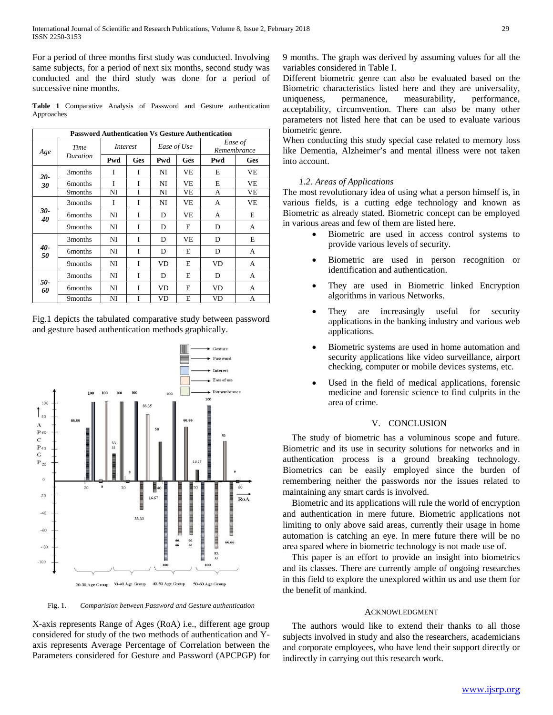For a period of three months first study was conducted. Involving same subjects, for a period of next six months, second study was conducted and the third study was done for a period of successive nine months.

**Table 1** Comparative Analysis of Password and Gesture authentication Approaches

| <b>Password Authentication Vs Gesture Authentication</b> |                     |                 |            |             |            |                        |     |
|----------------------------------------------------------|---------------------|-----------------|------------|-------------|------------|------------------------|-----|
| Age                                                      | Time<br>Duration    | <i>Interest</i> |            | Ease of Use |            | Ease of<br>Remembrance |     |
|                                                          |                     | Pwd             | <b>Ges</b> | Pwd         | <b>Ges</b> | Pwd                    | Ges |
| $20-$<br>30                                              | 3 <sub>months</sub> | T               | I          | NI          | VE         | E                      | VE  |
|                                                          | 6 <sub>months</sub> | I               | I          | NI          | VE         | E                      | VE  |
|                                                          | 9months             | NI              | Ī          | NI          | VE         | А                      | VE  |
| 30-<br>40                                                | 3 <sub>months</sub> | I               | I          | NI          | VE         | A                      | VE  |
|                                                          | 6 <sub>months</sub> | NI              | I          | D           | VE         | A                      | E   |
|                                                          | 9 <sub>months</sub> | NI              | I          | D           | E          | D                      | A   |
| 40-<br>50                                                | 3 <sub>months</sub> | NI              | I          | D           | VE         | D                      | E   |
|                                                          | 6 <sub>months</sub> | NI              | I          | D           | E          | D                      | A   |
|                                                          | 9 <sub>months</sub> | NI              | I          | VD          | E          | <b>VD</b>              | A   |
| 50-<br>60                                                | 3months             | NI              | I          | D           | E          | D                      | A   |
|                                                          | 6 <sub>months</sub> | NI              | I          | VD          | E          | <b>VD</b>              | A   |
|                                                          | 9months             | NI              | I          | VD          | E          | VD                     | A   |

Fig.1 depicts the tabulated comparative study between password and gesture based authentication methods graphically.



Fig. 1. *Comparision between Password and Gesture authentication*

X-axis represents Range of Ages (RoA) i.e., different age group considered for study of the two methods of authentication and Yaxis represents Average Percentage of Correlation between the Parameters considered for Gesture and Password (APCPGP) for

9 months. The graph was derived by assuming values for all the variables considered in Table I.

Different biometric genre can also be evaluated based on the Biometric characteristics listed here and they are universality, uniqueness, permanence, measurability, performance, acceptability, circumvention. There can also be many other parameters not listed here that can be used to evaluate various biometric genre.

When conducting this study special case related to memory loss like Dementia, Alzheimer's and mental illness were not taken into account.

## *1.2. Areas of Applications*

The most revolutionary idea of using what a person himself is, in various fields, is a cutting edge technology and known as Biometric as already stated. Biometric concept can be employed in various areas and few of them are listed here.

- Biometric are used in access control systems to provide various levels of security.
- Biometric are used in person recognition or identification and authentication.
- They are used in Biometric linked Encryption algorithms in various Networks.
- They are increasingly useful for security applications in the banking industry and various web applications.
- Biometric systems are used in home automation and security applications like video surveillance, airport checking, computer or mobile devices systems, etc.
- Used in the field of medical applications, forensic medicine and forensic science to find culprits in the area of crime.

#### V. CONCLUSION

The study of biometric has a voluminous scope and future. Biometric and its use in security solutions for networks and in authentication process is a ground breaking technology. Biometrics can be easily employed since the burden of remembering neither the passwords nor the issues related to maintaining any smart cards is involved.

Biometric and its applications will rule the world of encryption and authentication in mere future. Biometric applications not limiting to only above said areas, currently their usage in home automation is catching an eye. In mere future there will be no area spared where in biometric technology is not made use of.

This paper is an effort to provide an insight into biometrics and its classes. There are currently ample of ongoing researches in this field to explore the unexplored within us and use them for the benefit of mankind.

#### ACKNOWLEDGMENT

The authors would like to extend their thanks to all those subjects involved in study and also the researchers, academicians and corporate employees, who have lend their support directly or indirectly in carrying out this research work.